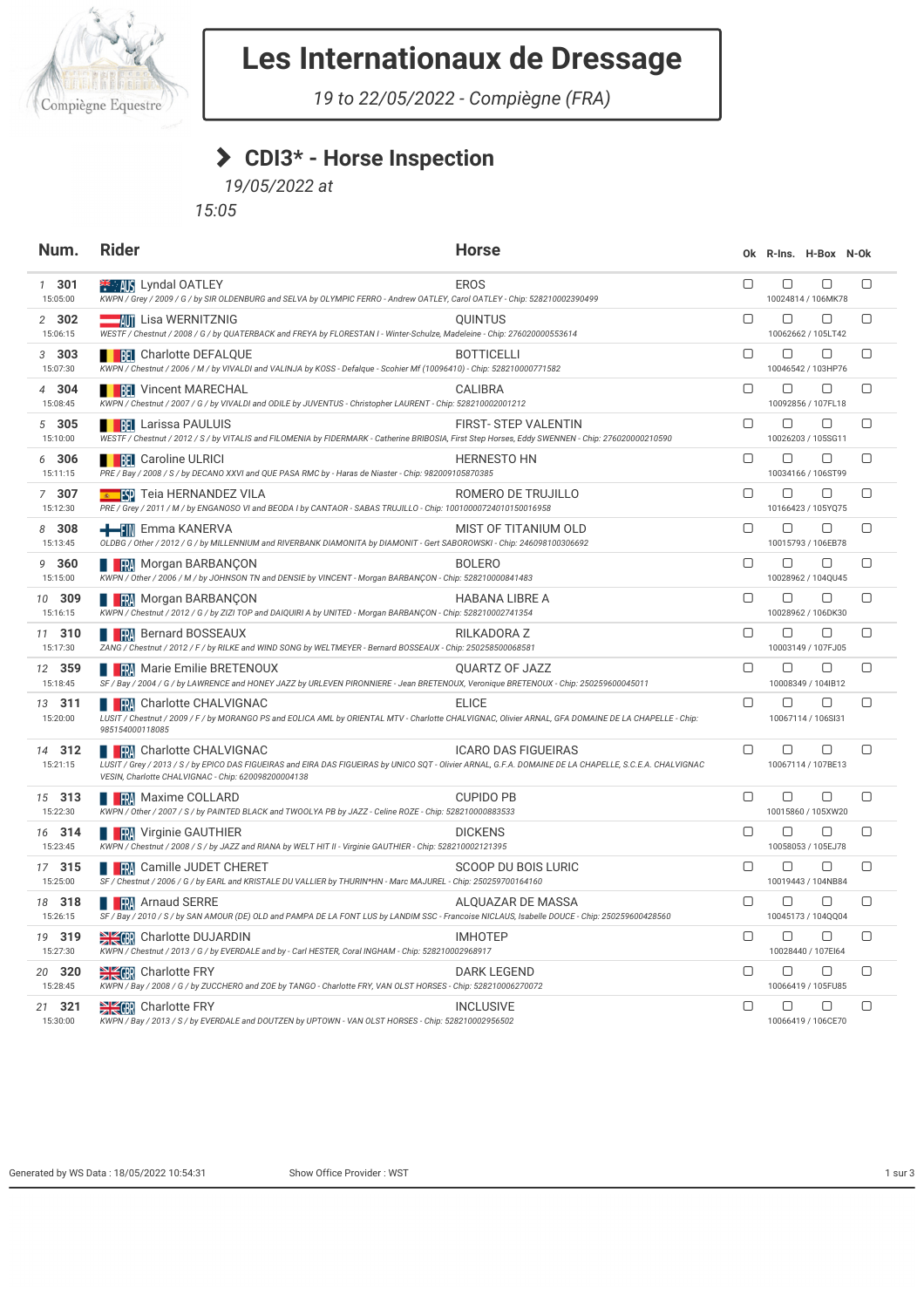

# **Les Internationaux de Dressage**

*19 to 22/05/2022 - Compiègne (FRA)*

### **CDI3\* - Horse Inspection**

*19/05/2022 at*

*15:05*

| Num.                     | <b>Rider</b>                                                                                                                                                                                                                                                  | Horse                       |        |        | Ok R-Ins. H-Box N-Ok         |        |
|--------------------------|---------------------------------------------------------------------------------------------------------------------------------------------------------------------------------------------------------------------------------------------------------------|-----------------------------|--------|--------|------------------------------|--------|
| 1301<br>15:05:00         | <b>WE ALS</b> Lyndal OATLEY<br>KWPN / Grey / 2009 / G / by SIR OLDENBURG and SELVA by OLYMPIC FERRO - Andrew OATLEY, Carol OATLEY - Chip: 528210002390499                                                                                                     | <b>EROS</b>                 | $\Box$ | $\Box$ | $\Box$<br>10024814 / 106MK78 | $\Box$ |
| 2 302<br>15:06:15        | <b>WERNITZNIG</b><br>WESTF / Chestnut / 2008 / G / by QUATERBACK and FREYA by FLORESTAN I - Winter-Schulze, Madeleine - Chip: 276020000553614                                                                                                                 | <b>OUINTUS</b>              | $\Box$ | ▢      | $\Box$<br>10062662 / 105LT42 | $\Box$ |
| $3\quad 303$<br>15:07:30 | <b>RE</b> Charlotte DEFALQUE<br>KWPN / Chestnut / 2006 / M / by VIVALDI and VALINJA by KOSS - Defalque - Scohier Mf (10096410) - Chip: 528210000771582                                                                                                        | <b>BOTTICELLI</b>           | $\Box$ | О      | $\Box$<br>10046542 / 103HP76 | □      |
| 4 304<br>15:08:45        | <b>RE</b> Vincent MARECHAL<br>KWPN / Chestnut / 2007 / G / by VIVALDI and ODILE by JUVENTUS - Christopher LAURENT - Chip: 528210002001212                                                                                                                     | <b>CALIBRA</b>              | $\Box$ | О      | $\Box$<br>10092856 / 107FL18 | $\Box$ |
| 305<br>5<br>15:10:00     | <b>THE Larissa PAULUIS</b><br>WESTF / Chestnut / 2012 / S / by VITALIS and FILOMENIA by FIDERMARK - Catherine BRIBOSIA, First Step Horses, Eddy SWENNEN - Chip: 276020000210590                                                                               | <b>FIRST- STEP VALENTIN</b> | $\Box$ | 0      | $\Box$<br>10026203 / 105SG11 | $\Box$ |
| 6 306<br>15:11:15        | <b>THE Caroline ULRICI</b><br>PRE / Bay / 2008 / S / by DECANO XXVI and QUE PASA RMC by - Haras de Niaster - Chip: 982009105870385                                                                                                                            | <b>HERNESTO HN</b>          | $\Box$ | 0      | $\Box$<br>10034166 / 106ST99 | $\Box$ |
| 7 307<br>15:12:30        | E SP Teia HERNANDEZ VILA<br>PRE / Grey / 2011 / M / by ENGANOSO VI and BEODA I by CANTAOR - SABAS TRUJILLO - Chip: 10010000724010150016958                                                                                                                    | ROMERO DE TRUJILLO          | $\Box$ | 0      | $\Box$<br>10166423 / 105YQ75 | $\Box$ |
| 8 308<br>15:13:45        | OLDBG / Other / 2012 / G / by MILLENNIUM and RIVERBANK DIAMONITA by DIAMONIT - Gert SABOROWSKI - Chip: 246098100306692                                                                                                                                        | MIST OF TITANIUM OLD        | 0      | О      | 0<br>10015793 / 106EB78      | $\Box$ |
| 360<br>9<br>15:15:00     | <b>Norgan BARBANÇON</b><br>KWPN / Other / 2006 / M / by JOHNSON TN and DENSIE by VINCENT - Morgan BARBANÇON - Chip: 528210000841483                                                                                                                           | <b>BOLERO</b>               | $\Box$ | 0      | $\Box$<br>10028962 / 104QU45 | $\Box$ |
| 10 309<br>15:16:15       | <b>Norgan BARBANÇON</b><br>KWPN / Chestnut / 2012 / G / by ZIZI TOP and DAIQUIRI A by UNITED - Morgan BARBANÇON - Chip: 528210002741354                                                                                                                       | <b>HABANA LIBRE A</b>       | $\Box$ | 0      | $\Box$<br>10028962 / 106DK30 | $\Box$ |
| 11 310<br>15:17:30       | <b>BERGIE BERGIE BOSSEAUX</b><br>ZANG / Chestnut / 2012 / F / by RILKE and WIND SONG by WELTMEYER - Bernard BOSSEAUX - Chip: 250258500068581                                                                                                                  | RILKADORA Z                 | $\Box$ | О      | 0<br>10003149 / 107FJ05      | $\Box$ |
| 12 359<br>15:18:45       | <b>NET SERVICE SERVICE SERVICE SERVICE SERVICE SERVICE SERVICE SERVICE SERVICE SERVICE SERVICE SERVICE SERVICE SE</b><br>SF / Bay / 2004 / G / by LAWRENCE and HONEY JAZZ by URLEVEN PIRONNIERE - Jean BRETENOUX, Veronique BRETENOUX - Chip: 250259600045011 | <b>QUARTZ OF JAZZ</b>       | $\Box$ | 0      | $\Box$<br>10008349 / 104IB12 | $\Box$ |
| 13 311<br>15:20:00       | ■             Charlotte CHALVIGNAC<br>LUSIT / Chestnut / 2009 / F / by MORANGO PS and EOLICA AML by ORIENTAL MTV - Charlotte CHALVIGNAC, Olivier ARNAL, GFA DOMAINE DE LA CHAPELLE - Chip:<br>985154000118085                                                 | <b>ELICE</b>                | $\Box$ | 0      | $\Box$<br>10067114 / 106SI31 | $\Box$ |
| 14 312<br>15:21:15       | <b>R</b> Charlotte CHALVIGNAC<br>LUSIT / Grey / 2013 / S / by EPICO DAS FIGUEIRAS and EIRA DAS FIGUEIRAS by UNICO SQT - Olivier ARNAL, G.F.A. DOMAINE DE LA CHAPELLE, S.C.E.A. CHALVIGNAC<br>VESIN, Charlotte CHALVIGNAC - Chip: 620098200004138              | <b>ICARO DAS FIGUEIRAS</b>  | $\Box$ | □      | $\Box$<br>10067114 / 107BE13 | $\Box$ |
| 15 313<br>15:22:30       | <b>Naxime COLLARD</b><br>KWPN / Other / 2007 / S / by PAINTED BLACK and TWOOLYA PB by JAZZ - Celine ROZE - Chip: 528210000883533                                                                                                                              | <b>CUPIDO PB</b>            | $\Box$ | 0      | $\Box$<br>10015860 / 105XW20 | $\Box$ |
| 16 314<br>15:23:45       | <b>THE WAY Virginie GAUTHIER</b><br>KWPN / Chestnut / 2008 / S / by JAZZ and RIANA by WELT HIT II - Virginie GAUTHIER - Chip: 528210002121395                                                                                                                 | <b>DICKENS</b>              | $\Box$ | О      | $\Box$<br>10058053 / 105EJ78 | $\Box$ |
| 17 315<br>15:25:00       | <b>THE RAN</b> Camille JUDET CHERET<br>SF / Chestnut / 2006 / G / by EARL and KRISTALE DU VALLIER by THURIN*HN - Marc MAJUREL - Chip: 250259700164160                                                                                                         | <b>SCOOP DU BOIS LURIC</b>  | 0      | О      | 0<br>10019443 / 104NB84      | 0      |
| 18 318<br>15:26:15       | <b>THE RAN</b> Arnaud SERRE<br>SF / Bay / 2010 / S / by SAN AMOUR (DE) OLD and PAMPA DE LA FONT LUS by LANDIM SSC - Francoise NICLAUS, Isabelle DOUCE - Chip: 250259600428560                                                                                 | ALQUAZAR DE MASSA           | $\Box$ | О      | $\Box$<br>10045173 / 104QQ04 | $\Box$ |
| 19 319<br>15:27:30       | <b>SKOR</b> Charlotte DUJARDIN<br>KWPN / Chestnut / 2013 / G / by EVERDALE and by - Carl HESTER, Coral INGHAM - Chip: 528210002968917                                                                                                                         | <b>IMHOTEP</b>              | $\Box$ | 0      | $\Box$<br>10028440 / 107E164 | $\Box$ |
| 20 320<br>15:28:45       | <b>KET</b> Charlotte FRY<br>KWPN / Bay / 2008 / G / by ZUCCHERO and ZOE by TANGO - Charlotte FRY, VAN OLST HORSES - Chip: 528210006270072                                                                                                                     | <b>DARK LEGEND</b>          | 0      | О      | 0<br>10066419 / 105FU85      | 0      |
| 321<br>21<br>15:30:00    | <b>XKM</b> Charlotte FRY<br>KWPN / Bay / 2013 / S / by EVERDALE and DOUTZEN by UPTOWN - VAN OLST HORSES - Chip: 528210002956502                                                                                                                               | <b>INCLUSIVE</b>            | $\Box$ | О      | $\Box$<br>10066419 / 106CE70 | $\Box$ |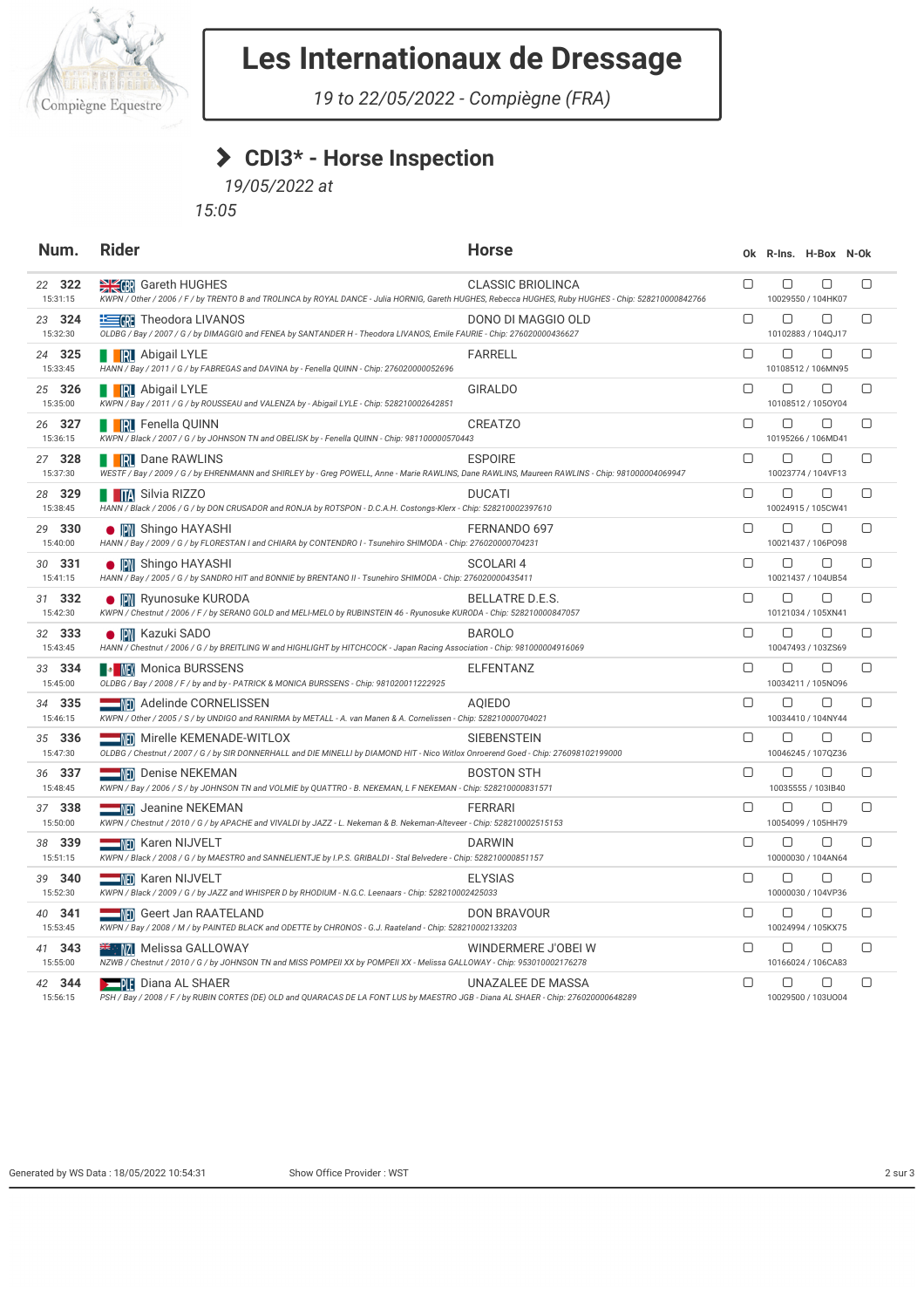

# **Les Internationaux de Dressage**

*19 to 22/05/2022 - Compiègne (FRA)*

#### **CDI3\* - Horse Inspection**

*19/05/2022 at*

*15:05*

| Num.                      | <b>Rider</b>                                                                                                                                                                      | <b>Horse</b>             |        |        | Ok R-Ins. H-Box N-Ok         |        |
|---------------------------|-----------------------------------------------------------------------------------------------------------------------------------------------------------------------------------|--------------------------|--------|--------|------------------------------|--------|
| 22 322<br>15:31:15        | <b>SKOR</b> Gareth HUGHES<br>KWPN / Other / 2006 / F / by TRENTO B and TROLINCA by ROYAL DANCE - Julia HORNIG, Gareth HUGHES, Rebecca HUGHES, Ruby HUGHES - Chip: 528210000842766 | <b>CLASSIC BRIOLINCA</b> | $\Box$ | 0      | $\Box$<br>10029550 / 104HK07 | $\Box$ |
| 23 324<br>15:32:30        | <b>Example 21 Theodora LIVANOS</b><br>OLDBG / Bay / 2007 / G / by DIMAGGIO and FENEA by SANTANDER H - Theodora LIVANOS, Emile FAURIE - Chip: 276020000436627                      | DONO DI MAGGIO OLD       | $\Box$ | 0      | О<br>10102883 / 104QJ17      | $\Box$ |
| 24 <b>325</b><br>15:33:45 | <b>NEXT Abigail LYLE</b><br>HANN / Bay / 2011 / G / by FABREGAS and DAVINA by - Fenella QUINN - Chip: 276020000052696                                                             | FARRELL                  | $\Box$ | О      | О<br>10108512 / 106MN95      | $\Box$ |
| 25 326<br>15:35:00        | <b>NEXT Abigail LYLE</b><br>KWPN / Bay / 2011 / G / by ROUSSEAU and VALENZA by - Abigail LYLE - Chip: 528210002642851                                                             | <b>GIRALDO</b>           | $\Box$ | □      | 0<br>10108512 / 1050Y04      | $\Box$ |
| 26 327<br>15:36:15        | <b>NEXT</b> Fenella QUINN<br>KWPN / Black / 2007 / G / by JOHNSON TN and OBELISK by - Fenella QUINN - Chip: 981100000570443                                                       | <b>CREATZO</b>           | $\Box$ | □      | 0<br>10195266 / 106MD41      | $\Box$ |
| 27 328<br>15:37:30        | <b>NEXT Dane RAWLINS</b><br>WESTF / Bay / 2009 / G / by EHRENMANN and SHIRLEY by - Greg POWELL, Anne - Marie RAWLINS, Dane RAWLINS, Maureen RAWLINS - Chip: 981000004069947       | <b>ESPOIRE</b>           | $\Box$ | O      | О<br>10023774 / 104VF13      | $\Box$ |
| 28 329<br>15:38:45        | <b>NE DIA Silvia RIZZO</b><br>HANN / Black / 2006 / G / by DON CRUSADOR and RONJA by ROTSPON - D.C.A.H. Costongs-Klerx - Chip: 528210002397610                                    | <b>DUCATI</b>            | $\Box$ | □      | 0<br>10024915 / 105CW41      | 0      |
| 29 330<br>15:40:00        | ● IM Shingo HAYASHI<br>HANN / Bay / 2009 / G / by FLORESTAN I and CHIARA by CONTENDRO I - Tsunehiro SHIMODA - Chip: 276020000704231                                               | FERNANDO 697             | $\Box$ | 0      | 0<br>10021437 / 106P098      | $\Box$ |
| 30 331<br>15:41:15        | ● IM Shingo HAYASHI<br>HANN / Bay / 2005 / G / by SANDRO HIT and BONNIE by BRENTANO II - Tsunehiro SHIMODA - Chip: 276020000435411                                                | SCOLARI <sub>4</sub>     | $\Box$ | $\Box$ | $\Box$<br>10021437 / 104UB54 | $\Box$ |
| 31 332<br>15:42:30        | ● IM Ryunosuke KURODA<br>KWPN / Chestnut / 2006 / F / by SERANO GOLD and MELI-MELO by RUBINSTEIN 46 - Ryunosuke KURODA - Chip: 528210000847057                                    | BELLATRE D.E.S.          | $\Box$ | О      | О<br>10121034 / 105XN41      | $\Box$ |
| 32 333<br>15:43:45        | <b>IN</b> Kazuki SADO<br>HANN / Chestnut / 2006 / G / by BREITLING W and HIGHLIGHT by HITCHCOCK - Japan Racing Association - Chip: 981000004916069                                | <b>BAROLO</b>            | $\Box$ | □      | 0<br>10047493 / 103ZS69      | $\Box$ |
| 33 334<br>15:45:00        | <b>I</b> Monica BURSSENS<br>OLDBG / Bay / 2008 / F / by and by - PATRICK & MONICA BURSSENS - Chip: 981020011222925                                                                | <b>ELFENTANZ</b>         | $\Box$ | □      | 0<br>10034211 / 105N096      | $\Box$ |
| 34 335<br>15:46:15        | <b>EXAMPLE ADDED</b> Adelinde CORNELISSEN<br>KWPN / Other / 2005 / S / by UNDIGO and RANIRMA by METALL - A. van Manen & A. Cornelissen - Chip: 528210000704021                    | <b>AOIEDO</b>            | $\Box$ | □      | 0<br>10034410 / 104NY44      | $\Box$ |
| 35 336<br>15:47:30        | <b>WE MIT MITTED AT A MITTLOX</b><br>OLDBG / Chestnut / 2007 / G / by SIR DONNERHALL and DIE MINELLI by DIAMOND HIT - Nico Witlox Onroerend Goed - Chip: 276098102199000          | <b>SIEBENSTEIN</b>       | $\Box$ | О      | 0<br>10046245 / 107QZ36      | $\Box$ |
| 36 337<br>15:48:45        | <b>NEWS Denise NEKEMAN</b><br>KWPN / Bay / 2006 / S / by JOHNSON TN and VOLMIE by QUATTRO - B. NEKEMAN, L F NEKEMAN - Chip: 528210000831571                                       | <b>BOSTON STH</b>        | $\Box$ | $\Box$ | 0<br>10035555 / 103IB40      | $\Box$ |
| 37 338<br>15:50:00        | <b>NE</b> Jeanine NEKEMAN<br>KWPN / Chestnut / 2010 / G / by APACHE and VIVALDI by JAZZ - L. Nekeman & B. Nekeman-Alteveer - Chip: 528210002515153                                | <b>FERRARI</b>           | $\Box$ | $\Box$ | 0<br>10054099 / 105HH79      | $\Box$ |
| 38 339<br>15:51:15        | <b>WID</b> Karen NIJVELT<br>KWPN / Black / 2008 / G / by MAESTRO and SANNELIENTJE by I.P.S. GRIBALDI - Stal Belvedere - Chip: 528210000851157                                     | <b>DARWIN</b>            | $\Box$ | О      | О<br>10000030 / 104AN64      | $\Box$ |
| - 340<br>39<br>15:52:30   | <b>NEW SEPTEMBER 18 KARENA KELLET</b><br>KWPN / Black / 2009 / G / by JAZZ and WHISPER D by RHODIUM - N.G.C. Leenaars - Chip: 528210002425033                                     | <b>ELYSIAS</b>           | $\Box$ | □      | 0<br>10000030 / 104VP36      | $\Box$ |
| 40 341<br>15:53:45        | <b>WED</b> Geert Jan RAATELAND<br>KWPN / Bay / 2008 / M / by PAINTED BLACK and ODETTE by CHRONOS - G.J. Raateland - Chip: 528210002133203                                         | <b>DON BRAVOUR</b>       | $\Box$ | 0      | 0<br>10024994 / 105KX75      | $\Box$ |
| 41 343<br>15:55:00        | <del>*</del> Melissa GALLOWAY<br>NZWB / Chestnut / 2010 / G / by JOHNSON TN and MISS POMPEII XX by POMPEII XX - Melissa GALLOWAY - Chip: 953010002176278                          | WINDERMERE J'OBEI W      | $\Box$ | □      | 0<br>10166024 / 106CA83      | $\Box$ |
| 42 344<br>15:56:15        | <b>Diana AL SHAER</b><br>PSH / Bay / 2008 / F / by RUBIN CORTES (DE) OLD and QUARACAS DE LA FONT LUS by MAESTRO JGB - Diana AL SHAER - Chip: 276020000648289                      | UNAZALEE DE MASSA        | $\Box$ | 0      | 0<br>10029500 / 103U004      | $\Box$ |